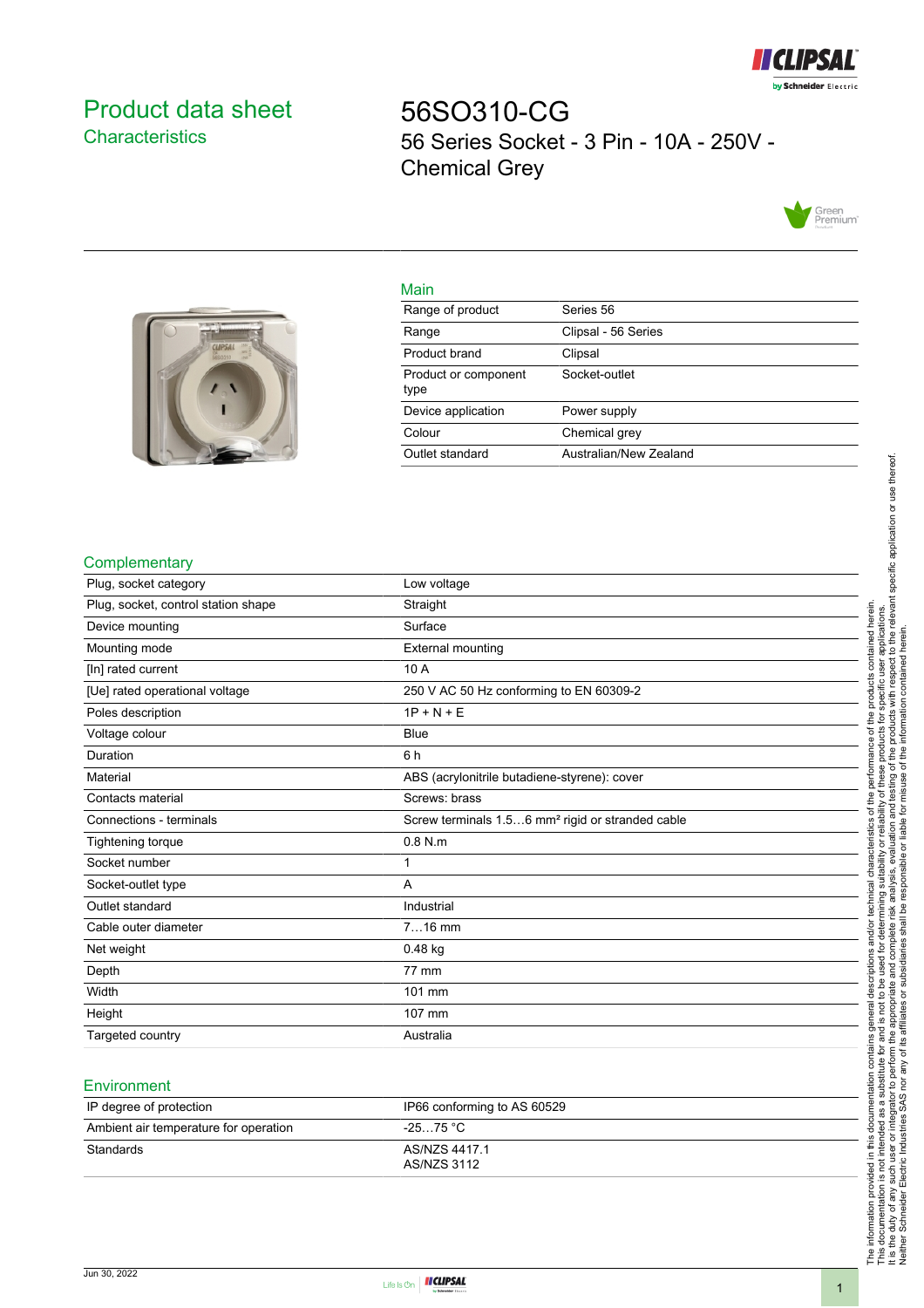

# <span id="page-0-0"></span>Product data sheet **Characteristics**

56SO310-CG 56 Series Socket - 3 Pin - 10A - 250V - Chemical Grey





| iviali i                     |                        |
|------------------------------|------------------------|
| Range of product             | Series 56              |
| Range                        | Clipsal - 56 Series    |
| Product brand                | Clipsal                |
| Product or component<br>type | Socket-outlet          |
| Device application           | Power supply           |
| Colour                       | Chemical grey          |
| Outlet standard              | Australian/New Zealand |
|                              |                        |

### **Complementary**

| Plug, socket category               | Low voltage                                                  |
|-------------------------------------|--------------------------------------------------------------|
| Plug, socket, control station shape | Straight                                                     |
| Device mounting                     | Surface                                                      |
| Mounting mode                       | <b>External mounting</b>                                     |
| [In] rated current                  | 10A                                                          |
| [Ue] rated operational voltage      | 250 V AC 50 Hz conforming to EN 60309-2                      |
| Poles description                   | $1P + N + E$                                                 |
| Voltage colour                      | <b>Blue</b>                                                  |
| Duration                            | 6 h                                                          |
| Material                            | ABS (acrylonitrile butadiene-styrene): cover                 |
| Contacts material                   | Screws: brass                                                |
| Connections - terminals             | Screw terminals 1.56 mm <sup>2</sup> rigid or stranded cable |
| Tightening torque                   | $0.8$ N.m                                                    |
| Socket number                       | 1                                                            |
| Socket-outlet type                  | A                                                            |
| Outlet standard                     | Industrial                                                   |
| Cable outer diameter                | $716$ mm                                                     |
| Net weight                          | $0.48$ kg                                                    |
| Depth                               | 77 mm                                                        |
| Width                               | 101 mm                                                       |
| Height                              | 107 mm                                                       |
| Targeted country                    | Australia                                                    |
|                                     |                                                              |

### **Environment**

| IP degree of protection               | IP66 conforming to AS 60529  |
|---------------------------------------|------------------------------|
| Ambient air temperature for operation | -25…75 °C                    |
| Standards                             | AS/NZS 4417.1<br>AS/NZS 3112 |